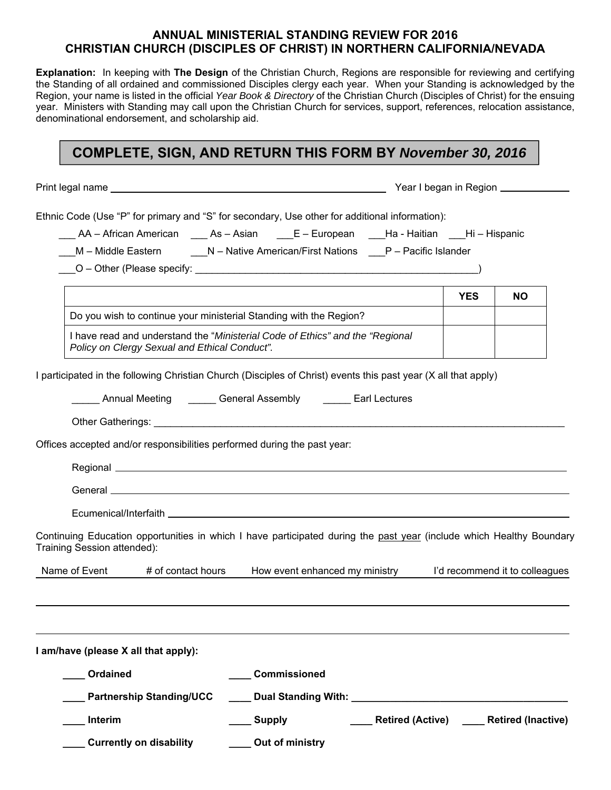## **ANNUAL MINISTERIAL STANDING REVIEW FOR 2016 CHRISTIAN CHURCH (DISCIPLES OF CHRIST) IN NORTHERN CALIFORNIA/NEVADA**

**Explanation:** In keeping with **The Design** of the Christian Church, Regions are responsible for reviewing and certifying the Standing of all ordained and commissioned Disciples clergy each year. When your Standing is acknowledged by the Region, your name is listed in the official *Year Book & Directory* of the Christian Church (Disciples of Christ) for the ensuing year. Ministers with Standing may call upon the Christian Church for services, support, references, relocation assistance, denominational endorsement, and scholarship aid.

## **COMPLETE, SIGN, AND RETURN THIS FORM BY** *November 30, 2016*

Print legal name **Year I began in Region** 

Ethnic Code (Use "P" for primary and "S" for secondary, Use other for additional information):

\_\_\_ AA – African American \_\_\_ As – Asian \_\_\_E – European \_\_\_Ha - Haitian \_\_\_Hi – Hispanic

M – Middle Eastern **N** – Native American/First Nations P – Pacific Islander

\_\_\_O – Other (Please specify: \_\_\_\_\_\_\_\_\_\_\_\_\_\_\_\_\_\_\_\_\_\_\_\_\_\_\_\_\_\_\_\_\_\_\_\_\_\_\_\_\_\_\_\_\_\_\_\_\_\_\_)

|                                                                                                                                | <b>YES</b> | NΟ |
|--------------------------------------------------------------------------------------------------------------------------------|------------|----|
| Do you wish to continue your ministerial Standing with the Region?                                                             |            |    |
| I have read and understand the "Ministerial Code of Ethics" and the "Regional<br>Policy on Clergy Sexual and Ethical Conduct". |            |    |

I participated in the following Christian Church (Disciples of Christ) events this past year (X all that apply)

| Annual Meeting | General Assembly | Earl Lectures |
|----------------|------------------|---------------|
|----------------|------------------|---------------|

Other Gatherings: \_\_\_\_\_\_\_\_\_\_\_\_\_\_\_\_\_\_\_\_\_\_\_\_\_\_\_\_\_\_\_\_\_\_\_\_\_\_\_\_\_\_\_\_\_\_\_\_\_\_\_\_\_\_\_\_\_\_\_\_\_\_\_\_\_\_\_\_\_\_\_\_\_\_

Offices accepted and/or responsibilities performed during the past year:

| -<br>הוטווג. |  |  |  |
|--------------|--|--|--|
| Genera       |  |  |  |

Ecumenical/Interfaith \_\_\_\_\_\_\_\_\_

Continuing Education opportunities in which I have participated during the past year (include which Healthy Boundary Training Session attended):

| How event enhanced mv ministrv | Name of Event<br>` OT 、 | contact hours |  | I'd recommend it to colleagues_ |
|--------------------------------|-------------------------|---------------|--|---------------------------------|
|--------------------------------|-------------------------|---------------|--|---------------------------------|

| I am/have (please X all that apply): |                     |                         |                           |
|--------------------------------------|---------------------|-------------------------|---------------------------|
| Ordained                             | <b>Commissioned</b> |                         |                           |
| <b>Partnership Standing/UCC</b>      | Dual Standing With: |                         |                           |
| Interim                              | <b>Supply</b>       | <b>Retired (Active)</b> | <b>Retired (Inactive)</b> |
| <b>Currently on disability</b>       | Out of ministry     |                         |                           |